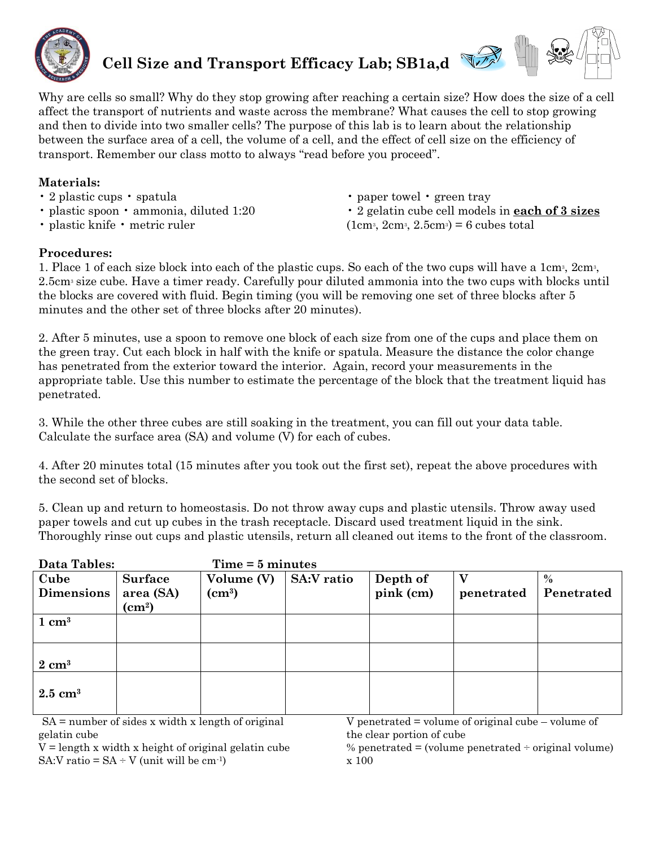

 **Cell Size and Transport Efficacy Lab; SB1a,d**



Why are cells so small? Why do they stop growing after reaching a certain size? How does the size of a cell affect the transport of nutrients and waste across the membrane? What causes the cell to stop growing and then to divide into two smaller cells? The purpose of this lab is to learn about the relationship between the surface area of a cell, the volume of a cell, and the effect of cell size on the efficiency of transport. Remember our class motto to always "read before you proceed".

## **Materials:**

- 2 plastic cups spatula
- plastic spoon ammonia, diluted 1:20
- plastic knife metric ruler

• paper towel • green tray

• 2 gelatin cube cell models in **each of 3 sizes**  $(1cm<sup>3</sup>, 2cm<sup>3</sup>, 2.5cm<sup>3</sup>) = 6 cubes total$ 

## **Procedures:**

1. Place 1 of each size block into each of the plastic cups. So each of the two cups will have a  $1 \text{cm}^3$ ,  $2 \text{cm}^3$ , 2.5cm<sup>3</sup> size cube. Have a timer ready. Carefully pour diluted ammonia into the two cups with blocks until the blocks are covered with fluid. Begin timing (you will be removing one set of three blocks after 5 minutes and the other set of three blocks after 20 minutes).

2. After 5 minutes, use a spoon to remove one block of each size from one of the cups and place them on the green tray. Cut each block in half with the knife or spatula. Measure the distance the color change has penetrated from the exterior toward the interior. Again, record your measurements in the appropriate table. Use this number to estimate the percentage of the block that the treatment liquid has penetrated.

3. While the other three cubes are still soaking in the treatment, you can fill out your data table. Calculate the surface area (SA) and volume (V) for each of cubes.

4. After 20 minutes total (15 minutes after you took out the first set), repeat the above procedures with the second set of blocks.

5. Clean up and return to homeostasis. Do not throw away cups and plastic utensils. Throw away used paper towels and cut up cubes in the trash receptacle. Discard used treatment liquid in the sink. Thoroughly rinse out cups and plastic utensils, return all cleaned out items to the front of the classroom.

| <b>Data Tables:</b>       |                                            | $Time = 5 minutes$        |                   |                       |            |                             |
|---------------------------|--------------------------------------------|---------------------------|-------------------|-----------------------|------------|-----------------------------|
| Cube<br><b>Dimensions</b> | <b>Surface</b><br>area (SA)<br>$\rm(cm^2)$ | Volume (V)<br>$\rm(cm^3)$ | <b>SA:V</b> ratio | Depth of<br>pink (cm) | penetrated | $\frac{0}{0}$<br>Penetrated |
| $1 \text{ cm}^3$          |                                            |                           |                   |                       |            |                             |
| $2 \text{ cm}^3$          |                                            |                           |                   |                       |            |                             |
| $2.5 \text{ cm}^3$        |                                            |                           |                   |                       |            |                             |

 $SA = number of sides x width x length of original$ gelatin cube

V penetrated = volume of original cube – volume of the clear portion of cube

 $V =$  length x width x height of original gelatin cube SA:V ratio =  $SA \div V$  (unit will be cm<sup>-1</sup>)

% penetrated = (volume penetrated  $\div$  original volume) x 100